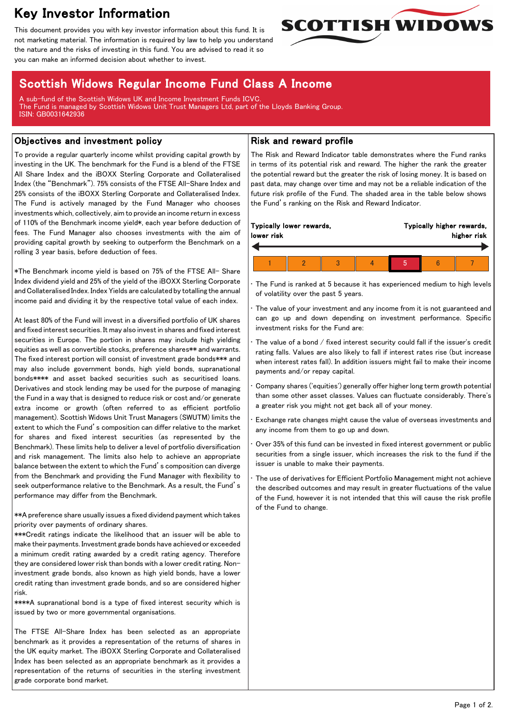# Key Investor Information

This document provides you with key investor information about this fund. It is not marketing material. The information is required by law to help you understand the nature and the risks of investing in this fund. You are advised to read it so you can make an informed decision about whether to invest.



## Scottish Widows Regular Income Fund Class A Income

A sub-fund of the Scottish Widows UK and Income Investment Funds ICVC. The Fund is managed by Scottish Widows Unit Trust Managers Ltd, part of the Lloyds Banking Group. ISIN: GB0031642936

#### Objectives and investment policy

To provide a regular quarterly income whilst providing capital growth by investing in the UK. The benchmark for the Fund is a blend of the FTSE All Share Index and the iBOXX Sterling Corporate and Collateralised Index (the "Benchmark"). 75% consists of the FTSE All-Share Index and 25% consists of the iBOXX Sterling Corporate and Collateralised Index. The Fund is actively managed by the Fund Manager who chooses investments which, collectively, aim to provide an income return in excess of 110% of the Benchmark income yield\*, each year before deduction of fees. The Fund Manager also chooses investments with the aim of providing capital growth by seeking to outperform the Benchmark on a rolling 3 year basis, before deduction of fees.

\*The Benchmark income yield is based on 75% of the FTSE All- Share Index dividend yield and 25% of the yield of the iBOXX Sterling Corporate and Collateralised Index. Index Yields are calculated by totalling the annual income paid and dividing it by the respective total value of each index.

At least 80% of the Fund will invest in a diversified portfolio of UK shares and fixed interest securities. It may also invest in shares and fixed interest securities in Europe. The portion in shares may include high yielding equities as well as convertible stocks, preference shares\*\* and warrants. The fixed interest portion will consist of investment grade bonds\*\*\* and may also include government bonds, high yield bonds, supranational bonds\*\*\*\* and asset backed securities such as securitised loans. Derivatives and stock lending may be used for the purpose of managing the Fund in a way that is designed to reduce risk or cost and/or generate extra income or growth (often referred to as efficient portfolio management). Scottish Widows Unit Trust Managers (SWUTM) limits the extent to which the Fund's composition can differ relative to the market for shares and fixed interest securities (as represented by the Benchmark). These limits help to deliver a level of portfolio diversification and risk management. The limits also help to achieve an appropriate balance between the extent to which the Fund's composition can diverge from the Benchmark and providing the Fund Manager with flexibility to seek outperformance relative to the Benchmark. As a result, the Fund's performance may differ from the Benchmark.

\*\*A preference share usually issues a fixed dividend payment which takes priority over payments of ordinary shares.

\*\*\*Credit ratings indicate the likelihood that an issuer will be able to make their payments. Investment grade bonds have achieved or exceeded a minimum credit rating awarded by a credit rating agency. Therefore they are considered lower risk than bonds with a lower credit rating. Noninvestment grade bonds, also known as high yield bonds, have a lower credit rating than investment grade bonds, and so are considered higher risk.

\*\*\*\*A supranational bond is a type of fixed interest security which is issued by two or more governmental organisations.

The FTSE All-Share Index has been selected as an appropriate benchmark as it provides a representation of the returns of shares in the UK equity market. The iBOXX Sterling Corporate and Collateralised Index has been selected as an appropriate benchmark as it provides a representation of the returns of securities in the sterling investment grade corporate bond market.

#### Risk and reward profile

The Risk and Reward Indicator table demonstrates where the Fund ranks in terms of its potential risk and reward. The higher the rank the greater the potential reward but the greater the risk of losing money. It is based on past data, may change over time and may not be a reliable indication of the future risk profile of the Fund. The shaded area in the table below shows the Fund's ranking on the Risk and Reward Indicator.

The Fund is ranked at 5 because it has experienced medium to high levels of volatility over the past 5 years.

The value of your investment and any income from it is not guaranteed and can go up and down depending on investment performance. Specific investment risks for the Fund are:

The value of a bond  $/$  fixed interest security could fall if the issuer's credit rating falls. Values are also likely to fall if interest rates rise (but increase when interest rates fall). In addition issuers might fail to make their income payments and/or repay capital.

• Company shares ('equities') generally offer higher long term growth potential than some other asset classes. Values can fluctuate considerably. There's a greater risk you might not get back all of your money.

• Exchange rate changes might cause the value of overseas investments and any income from them to go up and down.

• Over 35% of this fund can be invested in fixed interest government or public securities from a single issuer, which increases the risk to the fund if the issuer is unable to make their payments.

The use of derivatives for Efficient Portfolio Management might not achieve the described outcomes and may result in greater fluctuations of the value of the Fund, however it is not intended that this will cause the risk profile of the Fund to change.